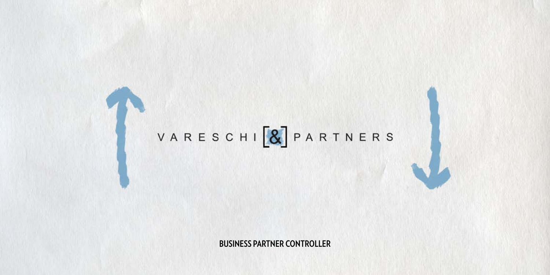## VARESCHI [8] PARTNERS

**BUSINESS PARTNER CONTROLLER**

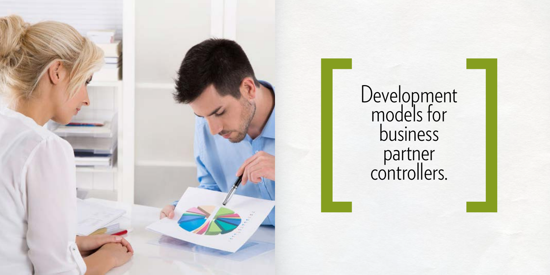Development models for business partner controllers.



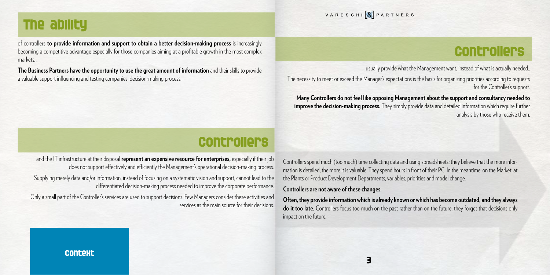of controllers **to provide information and support to obtain a better decision-making process** is increasingly becoming a competitive advantage especially for those companies aiming at a profitable growth in the most complex markets. .

**The Business Partners have the opportunity to use the great amount of information** and their skills to provide a valuable support influencing and testing companies' decision-making process.



VARESCHI & PARTNERS

## **The ability**

and the IT infrastructure at their disposal **represent an expensive resource for enterprises,** especially if their job does not support effectively and efficiently the Management's operational decision-making process.

Supplying merely data and/or information, instead of focusing on a systematic vision and support, cannot lead to the differentiated decision-making process needed to improve the corporate performance.

Only a small part of the Controller's services are used to support decisions. Few Managers consider these activities and services as the main source for their decisions.

## **Controllers**

usually provide what the Management want, instead of what is actually needed..

The necessity to meet or exceed the Manager's expectations is the basis for organizing priorities according to requests for the Controller's support.

 **Many Controllers do not feel like opposing Management about the support and consultancy needed to improve the decision-making process.** They simply provide data and detailed information which require further analysis by those who receive them.

## **Controllers**

Controllers spend much (too much) time collecting data and using spreadsheets; they believe that the more information is detailed, the more it is valuable. They spend hours in front of their PC. In the meantime, on the Market, at the Plants or Product Development Departments, variables, priorities and model change.

## **Controllers are not aware of these changes.**

**Often, they provide information which is already known or which has become outdated, and they always do it too late.** Controllers focus too much on the past rather than on the future: they forget that decisions only impact on the future.

## **Context**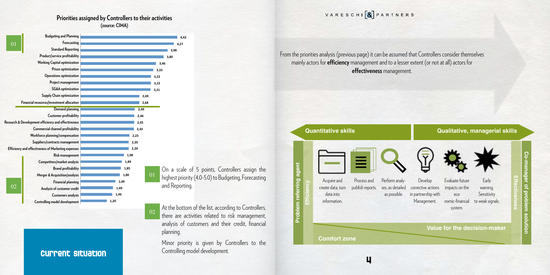

 **4,42**  A.27  **3,98** 

### **Priorities assigned by Controllers to their activities (source: CIMA)**



o-manager of problem solution **Effectiveness**

From the priorities analysis (previous page) it can be assumed that Controllers consider themselves mainly actors for **efficiency** management and to a lesser extent (or not at all) actors for **effectiveness** management.

On a scale of 5 points, Controllers assign the highest priority (4.0-5.0) to Budgeting, Forecasting and Reporting.

At the bottom of the list, according to Controllers, there are activities related to risk management, analysis of customers and their credit, financial planning.

Minor priority is given by Controllers to the Controlling model development.

VARESCHI & PARTNERS

02

## **Current situation**

**Co-manager of problem solution**

## **Value for the decision-maker**



Evaluate future impacts on the eco nomic-financial system.



Early warning. **Sensitivity** to weak signals.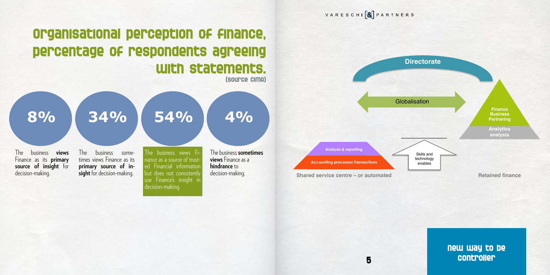

**8% 34% 54% 4%** The business **views** Finance as its **primary source of insight** for decision-making. The business sometimes views Finance as its **primary source of insight** for decision-making. The business views Fi nance as a source of trusted Financial information but does not consistently The business **sometimes views** Finance as a **hindrance** to decision-making.

use Finance's insight in

decision-making.

**New way to be controller**

**Analysis & reporting Accounting processes Transactions Globalisation Directorate** Skills and technology enables

**Shared service centre – or automated <b>Retained Finance** 

**Analytics analysis**

**Finance Business Partnering**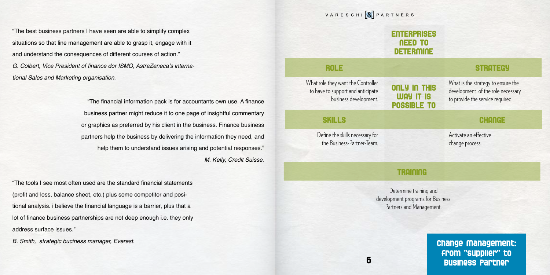What is the strategy to ensure the development of the role necessary to provide the service required.

## **ENTERPRISES NEED TO DETERMINE** What role they want the Controller to have to support and anticipate business development. Define the skills necessary for the Business-Partner-Team. **ONLY IN THIS WAY IT IS POSSIBLE TO ROLE STRATEGY SKILLS CHANGE**

VARESCHI & PARTNERS

Activate an effective change process.

Determine training and development programs for Business Partners and Management.

**Change Management: from "supplier" to Business Partner**

"The best business partners I have seen are able to simplify complex situations so that line management are able to grasp it, engage with it and understand the consequences of different courses of action." G. Colbert, Vice President of finance dor ISMO, AstraZeneca's international Sales and Marketing organisation.

> "The financial information pack is for accountants own use. A finance business partner might reduce it to one page of insightful commentary or graphics as preferred by his client in the business. Finance business partners help the business by delivering the information they need, and help them to understand issues arising and potential responses." M. Kelly, Credit Suisse.

"The tools I see most often used are the standard financial statements (profit and loss, balance sheet, etc.) plus some competitor and positional analysis. i believe the financial language is a barrier, plus that a lot of finance business partnerships are not deep enough i.e. they only address surface issues."

B. Smith, strategic buciness manager, Everest.

## **TRAINING**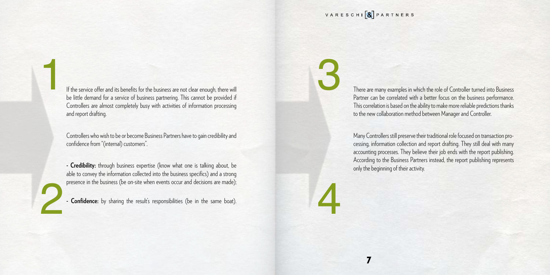If the service offer and its benefits for the business are not clear enough, there will be little demand for a service of business partnering. This cannot be provided if Controllers are almost completely busy with activities of information processing and report drafting.

Controllers who wish to be or become Business Partners have to gain credibility and confidence from "(internal) customers".

**- Credibility:** through business expertise (know what one is talking about, be able to convey the information collected into the business specifics) and a strong presence in the business (be on-site when events occur and decisions are made);

**- Confidence:** by sharing the result's responsibilities (be in the same boat).

1

2

There are many examples in which the role of Controller turned into Business Partner can be correlated with a better focus on the business performance. This correlation is based on the ability to make more reliable predictions thanks to the new collaboration method between Manager and Controller.

Many Controllers still preserve their traditional role focused on transaction processing, information collection and report drafting. They still deal with many accounting processes. They believe their job ends with the report publishing. According to the Business Partners instead, the report publishing represents only the beginning of their activity.

VARESCHI & PARTNERS

3

4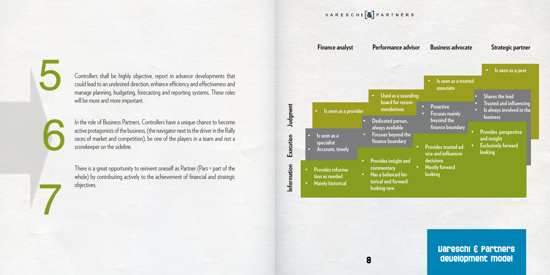Controllers shall be highly objective, report in advance developments that could lead to an undesired direction, enhance efficiency and effectiveness and manage planning, budgeting, forecasting and reporting systems. These roles will be more and more important.

In the role of Business Partners, Controllers have a unique chance to become active protagonists of the business, (the navigator next to the driver in the Rally races of market and competition), be one of the players in a team and not a scorekeeper on the sideline.

There is a great opportunity to reinvent oneself as Partner (Pars = part of the whole) by contributing actively to the achievement of financial and strategic objectives.

5

7

6

**Information**

Information

VARESCHI & PARTNERS

**Finance analyst Performance advisor Business advocate Strategic partner Judgment Execution • Provides information as needed • Mainly historical • Provides insight and commentary • Has a balanced historical and forward looking new Provi vice** a decis<sup>1</sup> **Most lookin • Is seen as a specialist • Accurate, timely • Dedicated person, always available • Focuses beyond the finance boundary • Is seen as a provider • Used as a sounding board for recommendations**

|                                                                                                     | Is seen as a peer                                                                                                          |  |
|-----------------------------------------------------------------------------------------------------|----------------------------------------------------------------------------------------------------------------------------|--|
| Is seen as a trusted<br>$\bullet$<br>associate                                                      |                                                                                                                            |  |
| <b>Proactive</b><br><b>Focuses mainly</b><br>$\bullet$<br>beyoind the                               | <b>Shares the lead</b><br>$\bullet$<br><b>Trusted and influencing</b><br>Is always involved in the<br>n<br><b>business</b> |  |
| finance boundary                                                                                    | <b>Provides perspective</b><br>and insight                                                                                 |  |
| <b>Provides trusted ad-</b><br>vice and influences<br>decisions<br><b>Mostly forward</b><br>looking | <b>Exclusively forward</b><br>looking                                                                                      |  |

## **Vareschi & Partners development model**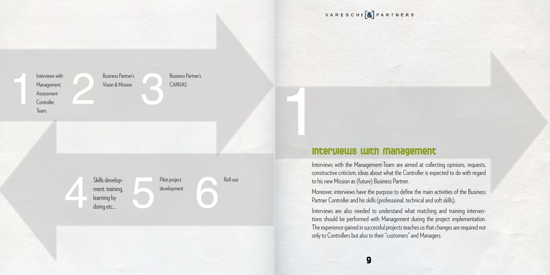VARESCHI & PARTNERS

| Interviews with | <b>Business Partner's</b> |
|-----------------|---------------------------|
| Management,     | Vision & Mission          |
| Assessment      |                           |
| Controller      |                           |
| Team.           |                           |
|                 |                           |

Skills develop-<br>
ment: training,<br>
learning by<br>
doing etc... ment: training, learning by doing etc...

Business Partner's CANVAS

Pilot project development Roll-out

**Interviews with Management**  1

> Interviews with the Management-Team are aimed at collecting opinions, requests, constructive criticism, ideas about what the Controller is expected to do with regard to his new Mission as (future) Business Partner.

> Moreover, interviews have the purpose to define the main activities of the Business Partner Controller and his skills (professional, technical and soft skills).

> Interviews are also needed to understand what matching and training interventions should be performed with Management during the project implementation. The experience gained in successful projects teaches us that changes are required not only to Controllers but also to their "customers" and Managers.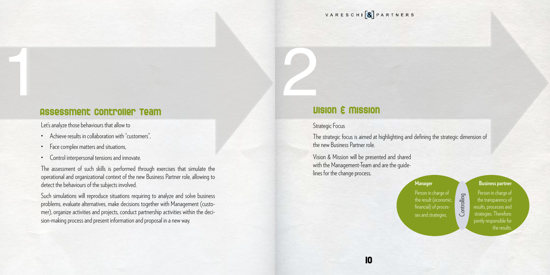

## 1 **Assessment Controller Team**  1

Let's analyze those behaviours that allow to

- Achieve results in collaboration with "customers",
- Face complex matters and situations,
- Control interpersonal tensions and innovate.

The assessment of such skills is performed through exercises that simulate the operational and organizational context of the new Business Partner role, allowing to detect the behaviours of the subjects involved.

> Person in charge of the result (economic, financial) of processes and strategies.

Person in charge of the transparency of results, processes and strategies. Therefore: jointly responsible for the results

Such simulations will reproduce situations requiring to analyze and solve business problems, evaluate alternatives, make decisions together with Management (customer), organize activities and projects, conduct partnership activities within the decision-making process and present information and proposal in a new way.

# 2 **Vision & Mission**

## Strategic Focus

The strategic focus is aimed at highlighting and defining the strategic dimension of the new Business Partner role.

Vision & Mission will be presented and shared with the Management-Team and are the guidelines for the change process.

### **Manager**

### **Business partner**

Controlling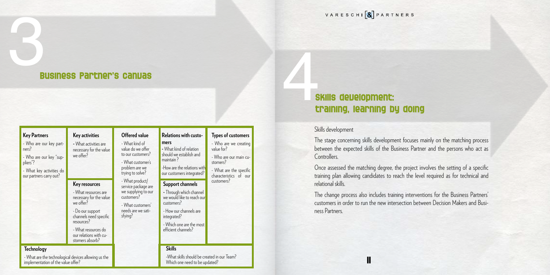# 3 **Business Partner's canvas**

## **Skills development: training, learning by doing 1**

VARESCHI & PARTNERS

## Skills development

The stage concerning skills development focuses mainly on the matching process between the expected skills of the Business Partner and the persons who act as Controllers.

Once assessed the matching degree, the project involves the setting of a specific training plan allowing candidates to reach the level required as for technical and relational skills.

The change process also includes training interventions for the Business Partners' customers in order to run the new intersection between Decision Makers and Business Partners.

| <b>Key Partners</b><br>- Who are our key part-<br>ners?<br>- Who are our key "sup-<br>pliers"?<br>- What key activities do<br>our partners carry out? | <b>Key activities</b><br>- What activities are<br>necessary for the value<br>we offer?<br><b>Key resources</b><br>- What resources are<br>necessary for the value<br>we offer?<br>- Do our support<br>channels need specific<br>resources? | <b>Offered value</b><br>- What kind of<br>value do we offer<br>to our customers?<br>- What customer's<br>problem are we<br>trying to solve?<br>- What product/<br>service package are<br>we supplying to our<br>customers?<br>- What customers'<br>needs are we sati-<br>sfying? | Relations with custo-<br>mers<br>- What kind of relation<br>should we establish and<br>maintain?<br>-How are the relations with<br>our customers integrated?<br><b>Support channels</b><br>- Through which channel<br>we would like to reach our<br>customers?<br>- How our channels are<br>integrated?<br>- Which one are the most | <b>Types of customers</b><br>- Who are we creating<br>value for?<br>- Who are our main cu-<br>stomers?<br>- What are the specific<br>characteristics of our<br>customers? |
|-------------------------------------------------------------------------------------------------------------------------------------------------------|--------------------------------------------------------------------------------------------------------------------------------------------------------------------------------------------------------------------------------------------|----------------------------------------------------------------------------------------------------------------------------------------------------------------------------------------------------------------------------------------------------------------------------------|-------------------------------------------------------------------------------------------------------------------------------------------------------------------------------------------------------------------------------------------------------------------------------------------------------------------------------------|---------------------------------------------------------------------------------------------------------------------------------------------------------------------------|
|                                                                                                                                                       | - What resources do<br>our relations with cu-<br>stomers absorb?                                                                                                                                                                           |                                                                                                                                                                                                                                                                                  | efficient channels?                                                                                                                                                                                                                                                                                                                 |                                                                                                                                                                           |
| <b>Technology</b><br>- What are the technological devices allowing us the                                                                             |                                                                                                                                                                                                                                            |                                                                                                                                                                                                                                                                                  | <b>Skills</b><br>-What skills should be created in our Team?                                                                                                                                                                                                                                                                        |                                                                                                                                                                           |

implementation of the value offer?

Which one need to be updated?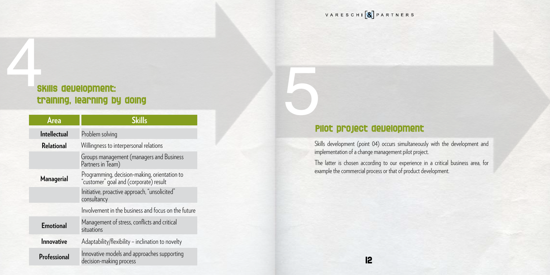# 5 **Pilot project development**

Skills development (point 04) occurs simultaneously with the development and implementation of a change management pilot project.

The latter is chosen according to our experience in a critical business area, for example the commercial process or that of product development.



## **Skills development: training, learning by doing** 4

| Area                | <b>Skills</b>                                                                          |
|---------------------|----------------------------------------------------------------------------------------|
| <b>Intellectual</b> | Problem solving                                                                        |
| <b>Relational</b>   | Willingness to interpersonal relations                                                 |
|                     | Groups management (managers and Business<br>Partners in Team)                          |
| <b>Managerial</b>   | Programming, decision-making, orientation to<br>"customer" goal and (corporate) result |
|                     | Initiative, proactive approach, "unsolicited"<br>consultancy                           |
|                     | Involvement in the business and focus on the future                                    |
| <b>Emotional</b>    | Management of stress, conflicts and critical<br>situations                             |
| Innovative          | Adaptability/flexibility - inclination to novelty                                      |
| Professional        | Innovative models and approaches supporting<br>decision-making process                 |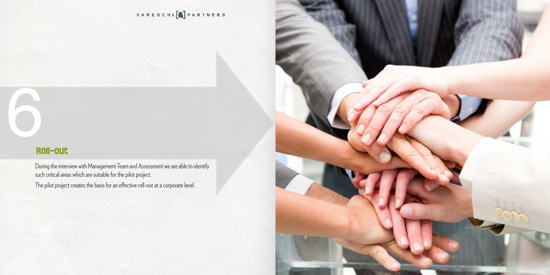

VARESCHI<sup>[8</sup>] PARTNERS

# 6 **Roll-out**

During the interview with Management-Team and Assessment we are able to identify such critical areas which are suitable for the pilot project.

The pilot project creates the basis for an effective roll-out at a corporate level.